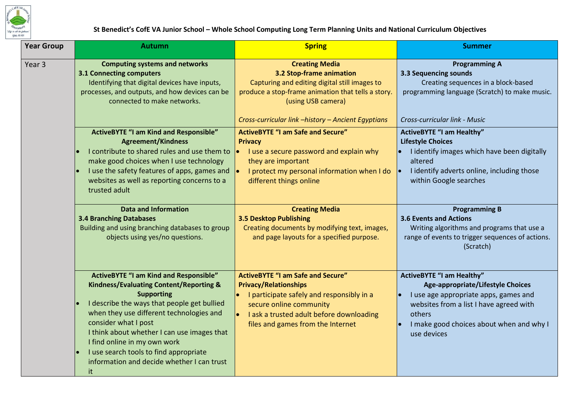

## **St Benedict's CofE VA Junior School – Whole School Computing Long Term Planning Units and National Curriculum Objectives**

| <b>Year Group</b> | <b>Autumn</b>                                                                                                                                                                                                                                                                                                                                                                                                            | <b>Spring</b>                                                                                                                                                                                                                                               | <b>Summer</b>                                                                                                                                                                                                                         |
|-------------------|--------------------------------------------------------------------------------------------------------------------------------------------------------------------------------------------------------------------------------------------------------------------------------------------------------------------------------------------------------------------------------------------------------------------------|-------------------------------------------------------------------------------------------------------------------------------------------------------------------------------------------------------------------------------------------------------------|---------------------------------------------------------------------------------------------------------------------------------------------------------------------------------------------------------------------------------------|
| Year <sub>3</sub> | <b>Computing systems and networks</b><br><b>3.1 Connecting computers</b><br>Identifying that digital devices have inputs,<br>processes, and outputs, and how devices can be<br>connected to make networks.                                                                                                                                                                                                               | <b>Creating Media</b><br>3.2 Stop-frame animation<br>Capturing and editing digital still images to<br>produce a stop-frame animation that tells a story.<br>(using USB camera)<br>Cross-curricular link -history - Ancient Egyptians                        | <b>Programming A</b><br>3.3 Sequencing sounds<br>Creating sequences in a block-based<br>programming language (Scratch) to make music.<br>Cross-curricular link - Music                                                                |
|                   | <b>ActiveBYTE "I am Kind and Responsible"</b><br><b>Agreement/Kindness</b><br>I contribute to shared rules and use them to<br>make good choices when I use technology<br>I use the safety features of apps, games and<br>websites as well as reporting concerns to a<br>trusted adult                                                                                                                                    | <b>ActiveBYTE "I am Safe and Secure"</b><br><b>Privacy</b><br>I use a secure password and explain why<br>$\bullet$<br>they are important<br>I protect my personal information when I do<br>$\bullet$<br>different things online                             | <b>ActiveBYTE "I am Healthy"</b><br><b>Lifestyle Choices</b><br>I identify images which have been digitally<br>altered<br>I identify adverts online, including those<br>within Google searches                                        |
|                   | <b>Data and Information</b><br><b>3.4 Branching Databases</b><br>Building and using branching databases to group<br>objects using yes/no questions.                                                                                                                                                                                                                                                                      | <b>Creating Media</b><br><b>3.5 Desktop Publishing</b><br>Creating documents by modifying text, images,<br>and page layouts for a specified purpose.                                                                                                        | <b>Programming B</b><br><b>3.6 Events and Actions</b><br>Writing algorithms and programs that use a<br>range of events to trigger sequences of actions.<br>(Scratch)                                                                  |
|                   | <b>ActiveBYTE "I am Kind and Responsible"</b><br><b>Kindness/Evaluating Content/Reporting &amp;</b><br><b>Supporting</b><br>I describe the ways that people get bullied<br>when they use different technologies and<br>consider what I post<br>I think about whether I can use images that<br>I find online in my own work<br>I use search tools to find appropriate<br>information and decide whether I can trust<br>it | <b>ActiveBYTE "I am Safe and Secure"</b><br><b>Privacy/Relationships</b><br>I participate safely and responsibly in a<br>$\bullet$<br>secure online community<br>I ask a trusted adult before downloading<br>$\bullet$<br>files and games from the Internet | <b>ActiveBYTE "I am Healthy"</b><br><b>Age-appropriate/Lifestyle Choices</b><br>I use age appropriate apps, games and<br>websites from a list I have agreed with<br>others<br>I make good choices about when and why I<br>use devices |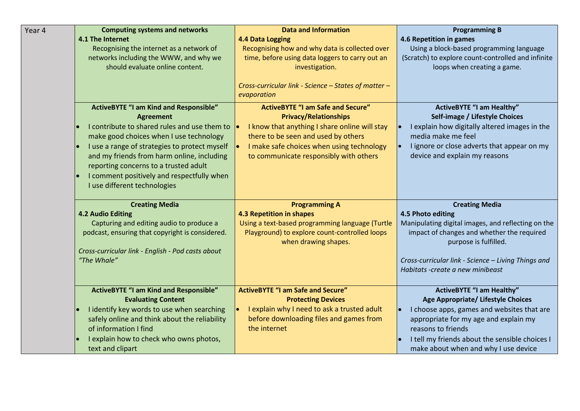| Year 4 | <b>Computing systems and networks</b>             | <b>Data and Information</b>                          | <b>Programming B</b>                                    |
|--------|---------------------------------------------------|------------------------------------------------------|---------------------------------------------------------|
|        | 4.1 The Internet                                  | <b>4.4 Data Logging</b>                              | 4.6 Repetition in games                                 |
|        | Recognising the internet as a network of          | Recognising how and why data is collected over       | Using a block-based programming language                |
|        | networks including the WWW, and why we            | time, before using data loggers to carry out an      | (Scratch) to explore count-controlled and infinite      |
|        | should evaluate online content.                   | investigation.                                       | loops when creating a game.                             |
|        |                                                   |                                                      |                                                         |
|        |                                                   | Cross-curricular link - Science - States of matter - |                                                         |
|        |                                                   | evaporation                                          |                                                         |
|        | <b>ActiveBYTE "I am Kind and Responsible"</b>     | <b>ActiveBYTE "I am Safe and Secure"</b>             | <b>ActiveBYTE "I am Healthy"</b>                        |
|        | <b>Agreement</b>                                  | <b>Privacy/Relationships</b>                         | Self-image / Lifestyle Choices                          |
|        | I contribute to shared rules and use them to      | I know that anything I share online will stay        | I explain how digitally altered images in the           |
|        | make good choices when I use technology           | there to be seen and used by others                  | media make me feel                                      |
|        | I use a range of strategies to protect myself     | I make safe choices when using technology            | I ignore or close adverts that appear on my             |
|        | and my friends from harm online, including        | to communicate responsibly with others               | device and explain my reasons                           |
|        | reporting concerns to a trusted adult             |                                                      |                                                         |
|        | I comment positively and respectfully when        |                                                      |                                                         |
|        | I use different technologies                      |                                                      |                                                         |
|        |                                                   |                                                      |                                                         |
|        | <b>Creating Media</b>                             | <b>Programming A</b>                                 | <b>Creating Media</b>                                   |
|        | <b>4.2 Audio Editing</b>                          | <b>4.3 Repetition in shapes</b>                      | 4.5 Photo editing                                       |
|        | Capturing and editing audio to produce a          | Using a text-based programming language (Turtle      | Manipulating digital images, and reflecting on the      |
|        | podcast, ensuring that copyright is considered.   | Playground) to explore count-controlled loops        | impact of changes and whether the required              |
|        | Cross-curricular link - English - Pod casts about | when drawing shapes.                                 | purpose is fulfilled.                                   |
|        | "The Whale"                                       |                                                      | Cross-curricular link - Science - Living Things and     |
|        |                                                   |                                                      | Habitats -create a new minibeast                        |
|        |                                                   |                                                      |                                                         |
|        | <b>ActiveBYTE "I am Kind and Responsible"</b>     | <b>ActiveBYTE "I am Safe and Secure"</b>             | <b>ActiveBYTE "I am Healthy"</b>                        |
|        | <b>Evaluating Content</b>                         | <b>Protecting Devices</b>                            | Age Appropriate/ Lifestyle Choices                      |
|        | I identify key words to use when searching        | I explain why I need to ask a trusted adult          | I choose apps, games and websites that are<br>$\bullet$ |
|        | safely online and think about the reliability     | before downloading files and games from              | appropriate for my age and explain my                   |
|        | of information I find                             | the internet                                         | reasons to friends                                      |
|        | I explain how to check who owns photos,           |                                                      | I tell my friends about the sensible choices I          |
|        | text and clipart                                  |                                                      | make about when and why I use device                    |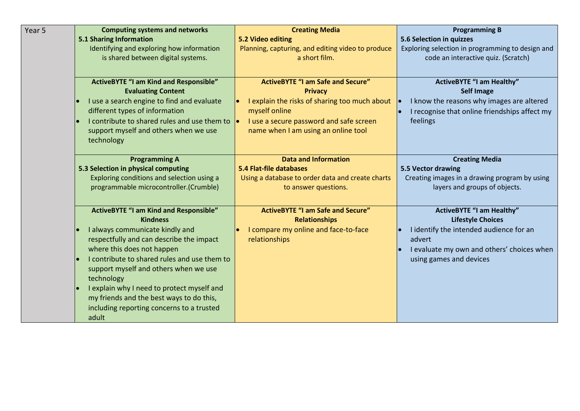| Year 5 | <b>Computing systems and networks</b>                  | <b>Creating Media</b>                             | <b>Programming B</b>                             |
|--------|--------------------------------------------------------|---------------------------------------------------|--------------------------------------------------|
|        | 5.1 Sharing Information                                | 5.2 Video editing                                 | 5.6 Selection in quizzes                         |
|        | Identifying and exploring how information              | Planning, capturing, and editing video to produce | Exploring selection in programming to design and |
|        | is shared between digital systems.                     | a short film.                                     | code an interactive quiz. (Scratch)              |
|        |                                                        |                                                   |                                                  |
|        | <b>ActiveBYTE "I am Kind and Responsible"</b>          | <b>ActiveBYTE "I am Safe and Secure"</b>          | <b>ActiveBYTE "I am Healthy"</b>                 |
|        | <b>Evaluating Content</b>                              | <b>Privacy</b>                                    | <b>Self Image</b>                                |
|        | I use a search engine to find and evaluate             | I explain the risks of sharing too much about     | I know the reasons why images are altered        |
|        | different types of information                         | myself online                                     | I recognise that online friendships affect my    |
|        | I contribute to shared rules and use them to $\bullet$ | I use a secure password and safe screen           | feelings                                         |
|        | support myself and others when we use                  | name when I am using an online tool               |                                                  |
|        | technology                                             |                                                   |                                                  |
|        |                                                        |                                                   |                                                  |
|        | <b>Programming A</b>                                   | <b>Data and Information</b>                       | <b>Creating Media</b>                            |
|        | 5.3 Selection in physical computing                    | <b>5.4 Flat-file databases</b>                    | 5.5 Vector drawing                               |
|        | Exploring conditions and selection using a             | Using a database to order data and create charts  | Creating images in a drawing program by using    |
|        | programmable microcontroller.(Crumble)                 | to answer questions.                              | layers and groups of objects.                    |
|        |                                                        |                                                   |                                                  |
|        | <b>ActiveBYTE "I am Kind and Responsible"</b>          | <b>ActiveBYTE "I am Safe and Secure"</b>          | <b>ActiveBYTE "I am Healthy"</b>                 |
|        | <b>Kindness</b>                                        | <b>Relationships</b>                              | <b>Lifestyle Choices</b>                         |
|        | I always communicate kindly and                        | I compare my online and face-to-face              | I identify the intended audience for an          |
|        | respectfully and can describe the impact               | relationships                                     | advert                                           |
|        | where this does not happen                             |                                                   | I evaluate my own and others' choices when       |
|        | I contribute to shared rules and use them to           |                                                   | using games and devices                          |
|        | support myself and others when we use                  |                                                   |                                                  |
|        | technology                                             |                                                   |                                                  |
|        | I explain why I need to protect myself and             |                                                   |                                                  |
|        | my friends and the best ways to do this,               |                                                   |                                                  |
|        | including reporting concerns to a trusted              |                                                   |                                                  |
|        | adult                                                  |                                                   |                                                  |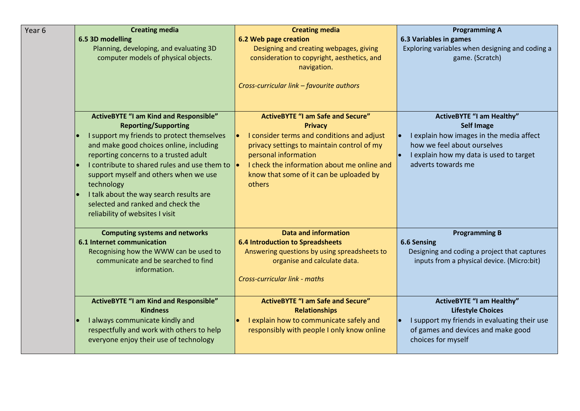| Year <sub>6</sub> | <b>Creating media</b>                                                                                                                                                                                                                                                                                                                                                                                         | <b>Creating media</b>                                                                                                                                                                                                                  | <b>Programming A</b>                                                                                                                                          |
|-------------------|---------------------------------------------------------------------------------------------------------------------------------------------------------------------------------------------------------------------------------------------------------------------------------------------------------------------------------------------------------------------------------------------------------------|----------------------------------------------------------------------------------------------------------------------------------------------------------------------------------------------------------------------------------------|---------------------------------------------------------------------------------------------------------------------------------------------------------------|
|                   | 6.5 3D modelling                                                                                                                                                                                                                                                                                                                                                                                              | 6.2 Web page creation                                                                                                                                                                                                                  | 6.3 Variables in games                                                                                                                                        |
|                   | Planning, developing, and evaluating 3D<br>computer models of physical objects.                                                                                                                                                                                                                                                                                                                               | Designing and creating webpages, giving<br>consideration to copyright, aesthetics, and<br>navigation.                                                                                                                                  | Exploring variables when designing and coding a<br>game. (Scratch)                                                                                            |
|                   |                                                                                                                                                                                                                                                                                                                                                                                                               | Cross-curricular link - favourite authors                                                                                                                                                                                              |                                                                                                                                                               |
|                   | <b>ActiveBYTE "I am Kind and Responsible"</b>                                                                                                                                                                                                                                                                                                                                                                 | <b>ActiveBYTE "I am Safe and Secure"</b>                                                                                                                                                                                               | <b>ActiveBYTE "I am Healthy"</b>                                                                                                                              |
|                   | <b>Reporting/Supporting</b><br>I support my friends to protect themselves<br>and make good choices online, including<br>reporting concerns to a trusted adult<br>I contribute to shared rules and use them to $\vert \bullet \vert$<br>support myself and others when we use<br>technology<br>I talk about the way search results are<br>selected and ranked and check the<br>reliability of websites I visit | <b>Privacy</b><br>I consider terms and conditions and adjust<br>privacy settings to maintain control of my<br>personal information<br>I check the information about me online and<br>know that some of it can be uploaded by<br>others | <b>Self Image</b><br>I explain how images in the media affect<br>how we feel about ourselves<br>I explain how my data is used to target<br>adverts towards me |
|                   | <b>Computing systems and networks</b>                                                                                                                                                                                                                                                                                                                                                                         | <b>Data and information</b>                                                                                                                                                                                                            | <b>Programming B</b>                                                                                                                                          |
|                   | <b>6.1 Internet communication</b>                                                                                                                                                                                                                                                                                                                                                                             | <b>6.4 Introduction to Spreadsheets</b>                                                                                                                                                                                                | 6.6 Sensing                                                                                                                                                   |
|                   | Recognising how the WWW can be used to<br>communicate and be searched to find<br>information.                                                                                                                                                                                                                                                                                                                 | Answering questions by using spreadsheets to<br>organise and calculate data.<br>Cross-curricular link - maths                                                                                                                          | Designing and coding a project that captures<br>inputs from a physical device. (Micro:bit)                                                                    |
|                   |                                                                                                                                                                                                                                                                                                                                                                                                               |                                                                                                                                                                                                                                        |                                                                                                                                                               |
|                   | <b>ActiveBYTE "I am Kind and Responsible"</b><br><b>Kindness</b>                                                                                                                                                                                                                                                                                                                                              | <b>ActiveBYTE "I am Safe and Secure"</b><br><b>Relationships</b>                                                                                                                                                                       | <b>ActiveBYTE "I am Healthy"</b><br><b>Lifestyle Choices</b>                                                                                                  |
|                   | I always communicate kindly and<br>respectfully and work with others to help<br>everyone enjoy their use of technology                                                                                                                                                                                                                                                                                        | I explain how to communicate safely and<br>responsibly with people I only know online                                                                                                                                                  | I support my friends in evaluating their use<br>of games and devices and make good<br>choices for myself                                                      |